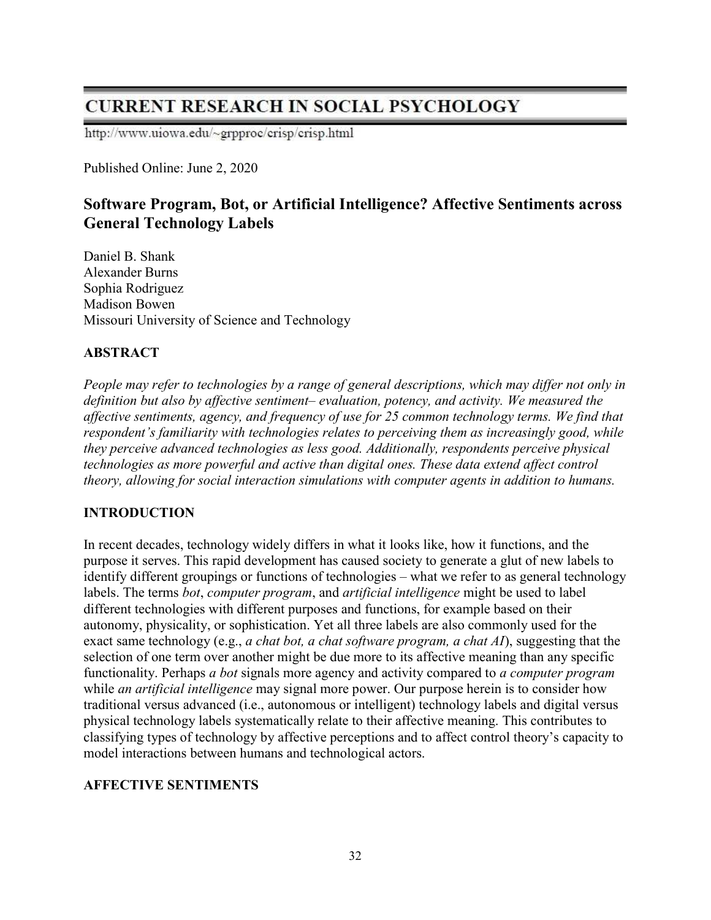# **CURRENT RESEARCH IN SOCIAL PSYCHOLOGY**

http://www.uiowa.edu/~grpproc/crisp/crisp.html

Published Online: June 2, 2020

## Software Program, Bot, or Artificial Intelligence? Affective Sentiments across General Technology Labels

Daniel B. Shank Alexander Burns Sophia Rodriguez Madison Bowen Missouri University of Science and Technology

## ABSTRACT

People may refer to technologies by a range of general descriptions, which may differ not only in definition but also by affective sentiment– evaluation, potency, and activity. We measured the affective sentiments, agency, and frequency of use for 25 common technology terms. We find that respondent's familiarity with technologies relates to perceiving them as increasingly good, while they perceive advanced technologies as less good. Additionally, respondents perceive physical technologies as more powerful and active than digital ones. These data extend affect control theory, allowing for social interaction simulations with computer agents in addition to humans.

## INTRODUCTION

In recent decades, technology widely differs in what it looks like, how it functions, and the purpose it serves. This rapid development has caused society to generate a glut of new labels to identify different groupings or functions of technologies – what we refer to as general technology labels. The terms *bot, computer program,* and *artificial intelligence* might be used to label different technologies with different purposes and functions, for example based on their autonomy, physicality, or sophistication. Yet all three labels are also commonly used for the exact same technology (e.g., a chat bot, a chat software program, a chat AI), suggesting that the selection of one term over another might be due more to its affective meaning than any specific functionality. Perhaps a bot signals more agency and activity compared to a computer program while *an artificial intelligence* may signal more power. Our purpose herein is to consider how traditional versus advanced (i.e., autonomous or intelligent) technology labels and digital versus physical technology labels systematically relate to their affective meaning. This contributes to classifying types of technology by affective perceptions and to affect control theory's capacity to model interactions between humans and technological actors.

## AFFECTIVE SENTIMENTS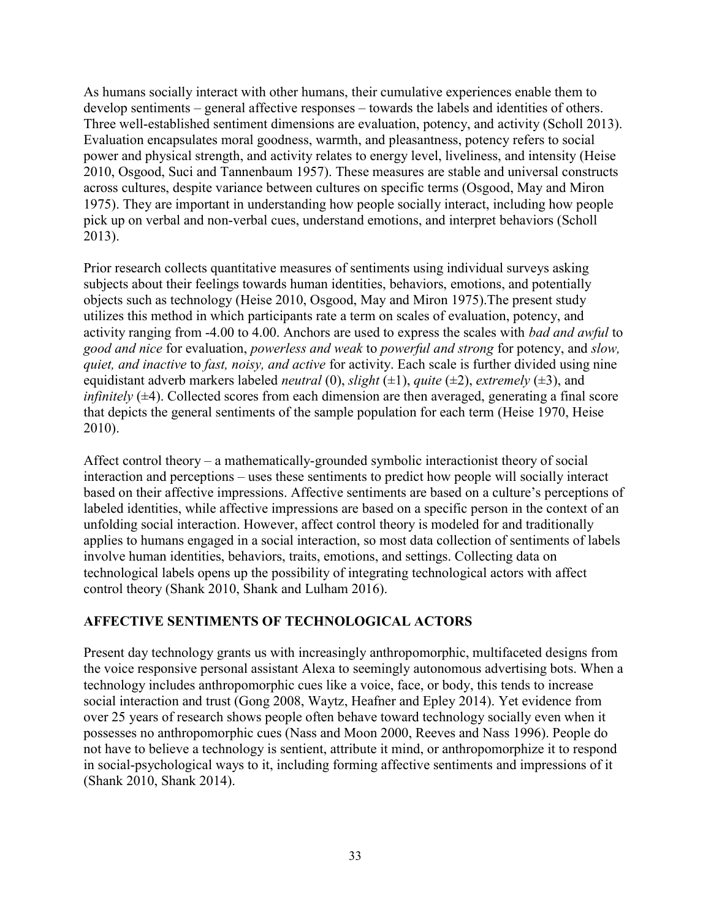As humans socially interact with other humans, their cumulative experiences enable them to develop sentiments – general affective responses – towards the labels and identities of others. Three well-established sentiment dimensions are evaluation, potency, and activity (Scholl 2013). Evaluation encapsulates moral goodness, warmth, and pleasantness, potency refers to social power and physical strength, and activity relates to energy level, liveliness, and intensity (Heise 2010, Osgood, Suci and Tannenbaum 1957). These measures are stable and universal constructs across cultures, despite variance between cultures on specific terms (Osgood, May and Miron 1975). They are important in understanding how people socially interact, including how people pick up on verbal and non-verbal cues, understand emotions, and interpret behaviors (Scholl 2013).

Prior research collects quantitative measures of sentiments using individual surveys asking subjects about their feelings towards human identities, behaviors, emotions, and potentially objects such as technology (Heise 2010, Osgood, May and Miron 1975).The present study utilizes this method in which participants rate a term on scales of evaluation, potency, and activity ranging from -4.00 to 4.00. Anchors are used to express the scales with bad and awful to good and nice for evaluation, powerless and weak to powerful and strong for potency, and slow, quiet, and inactive to fast, noisy, and active for activity. Each scale is further divided using nine equidistant adverb markers labeled *neutral* (0), *slight* ( $\pm$ 1), *quite* ( $\pm$ 2), *extremely* ( $\pm$ 3), and *infinitely*  $(\pm 4)$ . Collected scores from each dimension are then averaged, generating a final score that depicts the general sentiments of the sample population for each term (Heise 1970, Heise 2010).

Affect control theory – a mathematically-grounded symbolic interactionist theory of social interaction and perceptions – uses these sentiments to predict how people will socially interact based on their affective impressions. Affective sentiments are based on a culture's perceptions of labeled identities, while affective impressions are based on a specific person in the context of an unfolding social interaction. However, affect control theory is modeled for and traditionally applies to humans engaged in a social interaction, so most data collection of sentiments of labels involve human identities, behaviors, traits, emotions, and settings. Collecting data on technological labels opens up the possibility of integrating technological actors with affect control theory (Shank 2010, Shank and Lulham 2016).

#### AFFECTIVE SENTIMENTS OF TECHNOLOGICAL ACTORS

Present day technology grants us with increasingly anthropomorphic, multifaceted designs from the voice responsive personal assistant Alexa to seemingly autonomous advertising bots. When a technology includes anthropomorphic cues like a voice, face, or body, this tends to increase social interaction and trust (Gong 2008, Waytz, Heafner and Epley 2014). Yet evidence from over 25 years of research shows people often behave toward technology socially even when it possesses no anthropomorphic cues (Nass and Moon 2000, Reeves and Nass 1996). People do not have to believe a technology is sentient, attribute it mind, or anthropomorphize it to respond in social-psychological ways to it, including forming affective sentiments and impressions of it (Shank 2010, Shank 2014).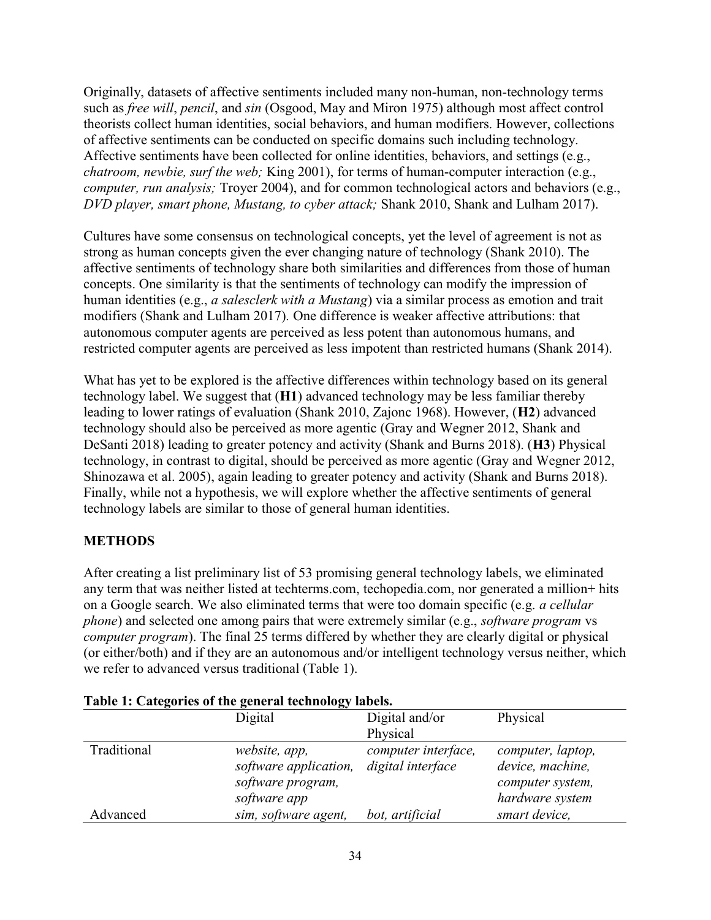Originally, datasets of affective sentiments included many non-human, non-technology terms such as *free will, pencil, and sin* (Osgood, May and Miron 1975) although most affect control theorists collect human identities, social behaviors, and human modifiers. However, collections of affective sentiments can be conducted on specific domains such including technology. Affective sentiments have been collected for online identities, behaviors, and settings (e.g., chatroom, newbie, surf the web; King 2001), for terms of human-computer interaction (e.g., computer, run analysis; Troyer 2004), and for common technological actors and behaviors (e.g., DVD player, smart phone, Mustang, to cyber attack; Shank 2010, Shank and Lulham 2017).

Cultures have some consensus on technological concepts, yet the level of agreement is not as strong as human concepts given the ever changing nature of technology (Shank 2010). The affective sentiments of technology share both similarities and differences from those of human concepts. One similarity is that the sentiments of technology can modify the impression of human identities (e.g., *a salesclerk with a Mustang*) via a similar process as emotion and trait modifiers (Shank and Lulham 2017). One difference is weaker affective attributions: that autonomous computer agents are perceived as less potent than autonomous humans, and restricted computer agents are perceived as less impotent than restricted humans (Shank 2014).

What has yet to be explored is the affective differences within technology based on its general technology label. We suggest that (H1) advanced technology may be less familiar thereby leading to lower ratings of evaluation (Shank 2010, Zajonc 1968). However, (H2) advanced technology should also be perceived as more agentic (Gray and Wegner 2012, Shank and DeSanti 2018) leading to greater potency and activity (Shank and Burns 2018). (H3) Physical technology, in contrast to digital, should be perceived as more agentic (Gray and Wegner 2012, Shinozawa et al. 2005), again leading to greater potency and activity (Shank and Burns 2018). Finally, while not a hypothesis, we will explore whether the affective sentiments of general technology labels are similar to those of general human identities.

## METHODS

After creating a list preliminary list of 53 promising general technology labels, we eliminated any term that was neither listed at techterms.com, techopedia.com, nor generated a million+ hits on a Google search. We also eliminated terms that were too domain specific (e.g. a cellular phone) and selected one among pairs that were extremely similar (e.g., software program vs computer program). The final 25 terms differed by whether they are clearly digital or physical (or either/both) and if they are an autonomous and/or intelligent technology versus neither, which we refer to advanced versus traditional (Table 1).

|             | Table 1. Categories of the general technology fabels.                       |                                          |                                                                              |  |  |  |  |  |
|-------------|-----------------------------------------------------------------------------|------------------------------------------|------------------------------------------------------------------------------|--|--|--|--|--|
|             | Digital and/or<br>Digital                                                   |                                          | Physical                                                                     |  |  |  |  |  |
|             |                                                                             | Physical                                 |                                                                              |  |  |  |  |  |
| Traditional | website, app,<br>software application,<br>software program,<br>software app | computer interface,<br>digital interface | computer, laptop,<br>device, machine,<br>computer system,<br>hardware system |  |  |  |  |  |
| Advanced    | sim, software agent,                                                        | bot, artificial                          | smart device,                                                                |  |  |  |  |  |

## Table 1: Categories of the general technology labels.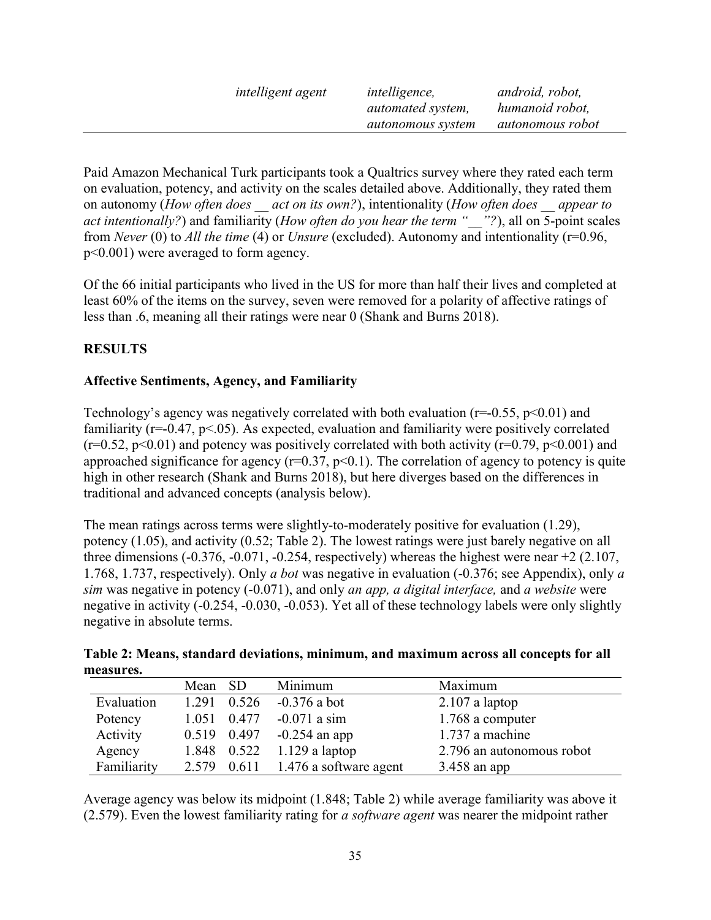| <i>intelligent agent</i> | <i>intelligence,</i>     | android, robot,         |
|--------------------------|--------------------------|-------------------------|
|                          | <i>automated system,</i> | humanoid robot,         |
|                          | autonomous system        | <i>autonomous robot</i> |

Paid Amazon Mechanical Turk participants took a Qualtrics survey where they rated each term on evaluation, potency, and activity on the scales detailed above. Additionally, they rated them on autonomy (How often does act on its own?), intentionality (How often does appear to act intentionally?) and familiarity (How often do you hear the term "<sup>2</sup>"?), all on  $\overline{5}$ -point scales from Never (0) to All the time (4) or Unsure (excluded). Autonomy and intentionality ( $r=0.96$ , p<0.001) were averaged to form agency.

Of the 66 initial participants who lived in the US for more than half their lives and completed at least 60% of the items on the survey, seven were removed for a polarity of affective ratings of less than .6, meaning all their ratings were near 0 (Shank and Burns 2018).

## RESULTS

#### Affective Sentiments, Agency, and Familiarity

Technology's agency was negatively correlated with both evaluation ( $r=-0.55$ ,  $p<0.01$ ) and familiarity (r=-0.47, p<.05). As expected, evaluation and familiarity were positively correlated ( $r=0.52$ ,  $p<0.01$ ) and potency was positively correlated with both activity ( $r=0.79$ ,  $p<0.001$ ) and approached significance for agency ( $r=0.37$ ,  $p<0.1$ ). The correlation of agency to potency is quite high in other research (Shank and Burns 2018), but here diverges based on the differences in traditional and advanced concepts (analysis below).

The mean ratings across terms were slightly-to-moderately positive for evaluation (1.29), potency (1.05), and activity (0.52; Table 2). The lowest ratings were just barely negative on all three dimensions  $(-0.376, -0.071, -0.254,$  respectively) whereas the highest were near  $+2$   $(2.107,$ 1.768, 1.737, respectively). Only *a bot* was negative in evaluation (-0.376; see Appendix), only *a* sim was negative in potency  $(-0.071)$ , and only *an app, a digital interface*, and *a website* were negative in activity (-0.254, -0.030, -0.053). Yet all of these technology labels were only slightly negative in absolute terms.

| Table 2: Means, standard deviations, minimum, and maximum across all concepts for all |  |  |  |
|---------------------------------------------------------------------------------------|--|--|--|
| measures.                                                                             |  |  |  |

|             | Mean SD |             | Minimum                              | Maximum                   |
|-------------|---------|-------------|--------------------------------------|---------------------------|
| Evaluation  | 1.291   | 0.526       | $-0.376$ a bot                       | $2.107$ a laptop          |
| Potency     |         | 1.051 0.477 | $-0.071$ a sim                       | 1.768 a computer          |
| Activity    |         | 0.519 0.497 | $-0.254$ an app                      | 1.737 a machine           |
| Agency      |         |             | 1.848 $0.522$ 1.129 a laptop         | 2.796 an autonomous robot |
| Familiarity |         |             | 2.579 $0.611$ 1.476 a software agent | $3.458$ an app            |

Average agency was below its midpoint (1.848; Table 2) while average familiarity was above it  $(2.579)$ . Even the lowest familiarity rating for *a software agent* was nearer the midpoint rather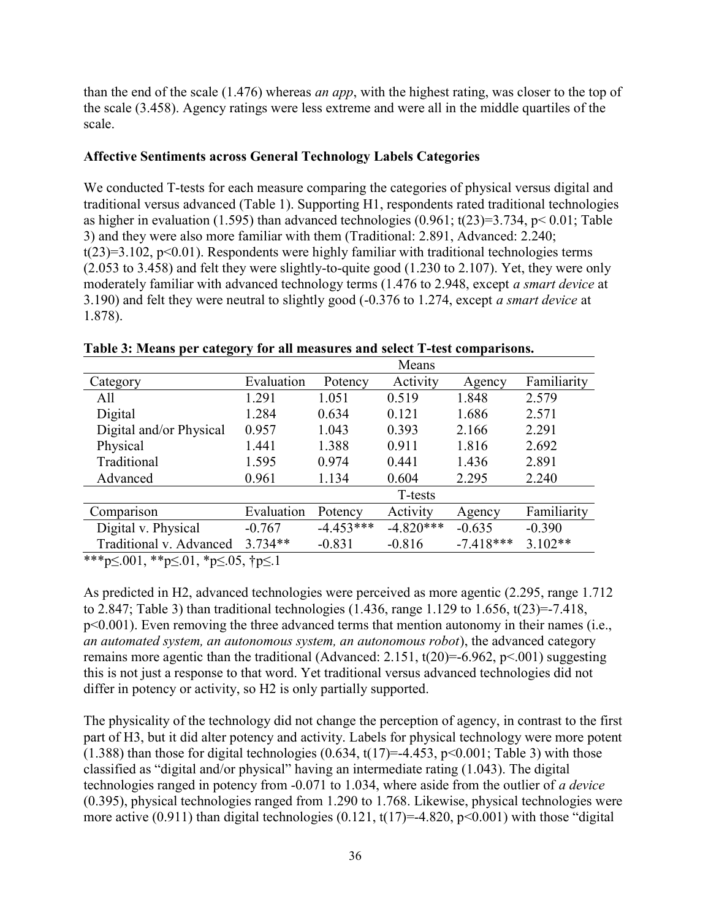than the end of the scale (1.476) whereas *an app*, with the highest rating, was closer to the top of the scale (3.458). Agency ratings were less extreme and were all in the middle quartiles of the scale.

#### Affective Sentiments across General Technology Labels Categories

We conducted T-tests for each measure comparing the categories of physical versus digital and traditional versus advanced (Table 1). Supporting H1, respondents rated traditional technologies as higher in evaluation (1.595) than advanced technologies (0.961;  $t(23)=3.734$ ,  $p< 0.01$ ; Table 3) and they were also more familiar with them (Traditional: 2.891, Advanced: 2.240;  $t(23)=3.102$ ,  $p<0.01$ ). Respondents were highly familiar with traditional technologies terms (2.053 to 3.458) and felt they were slightly-to-quite good (1.230 to 2.107). Yet, they were only moderately familiar with advanced technology terms (1.476 to 2.948, except *a smart device* at 3.190) and felt they were neutral to slightly good (-0.376 to 1.274, except a smart device at 1.878).

|                         | Means      |             |             |             |             |
|-------------------------|------------|-------------|-------------|-------------|-------------|
| Category                | Evaluation | Potency     | Activity    | Agency      | Familiarity |
| A11                     | 1.291      | 1.051       | 0.519       | 1.848       | 2.579       |
| Digital                 | 1.284      | 0.634       | 0.121       | 1.686       | 2.571       |
| Digital and/or Physical | 0.957      | 1.043       | 0.393       | 2.166       | 2.291       |
| Physical                | 1.441      | 1.388       | 0.911       | 1.816       | 2.692       |
| Traditional             | 1.595      | 0.974       | 0.441       | 1.436       | 2.891       |
| Advanced                | 0.961      | 1.134       | 0.604       | 2.295       | 2.240       |
|                         |            |             | T-tests     |             |             |
| Comparison              | Evaluation | Potency     | Activity    | Agency      | Familiarity |
| Digital v. Physical     | $-0.767$   | $-4.453***$ | $-4.820***$ | $-0.635$    | $-0.390$    |
| Traditional v. Advanced | $3.734**$  | $-0.831$    | $-0.816$    | $-7.418***$ | $3.102**$   |

Table 3: Means per category for all measures and select T-test comparisons.

\*\*\*p≤.001, \*\*p≤.01, \*p≤.05, †p≤.1

As predicted in H2, advanced technologies were perceived as more agentic (2.295, range 1.712 to 2.847; Table 3) than traditional technologies  $(1.436, \text{range } 1.129 \text{ to } 1.656, t(23)=7.418,$ p<0.001). Even removing the three advanced terms that mention autonomy in their names (i.e., an automated system, an autonomous system, an autonomous robot), the advanced category remains more agentic than the traditional (Advanced: 2.151,  $t(20)=-6.962$ ,  $p<.001$ ) suggesting this is not just a response to that word. Yet traditional versus advanced technologies did not differ in potency or activity, so H2 is only partially supported.

The physicality of the technology did not change the perception of agency, in contrast to the first part of H3, but it did alter potency and activity. Labels for physical technology were more potent (1.388) than those for digital technologies (0.634,  $t(17)=$ -4.453,  $p<0.001$ ; Table 3) with those classified as "digital and/or physical" having an intermediate rating (1.043). The digital technologies ranged in potency from -0.071 to 1.034, where aside from the outlier of a device (0.395), physical technologies ranged from 1.290 to 1.768. Likewise, physical technologies were more active (0.911) than digital technologies (0.121,  $t(17)=-4.820$ ,  $p<0.001$ ) with those "digital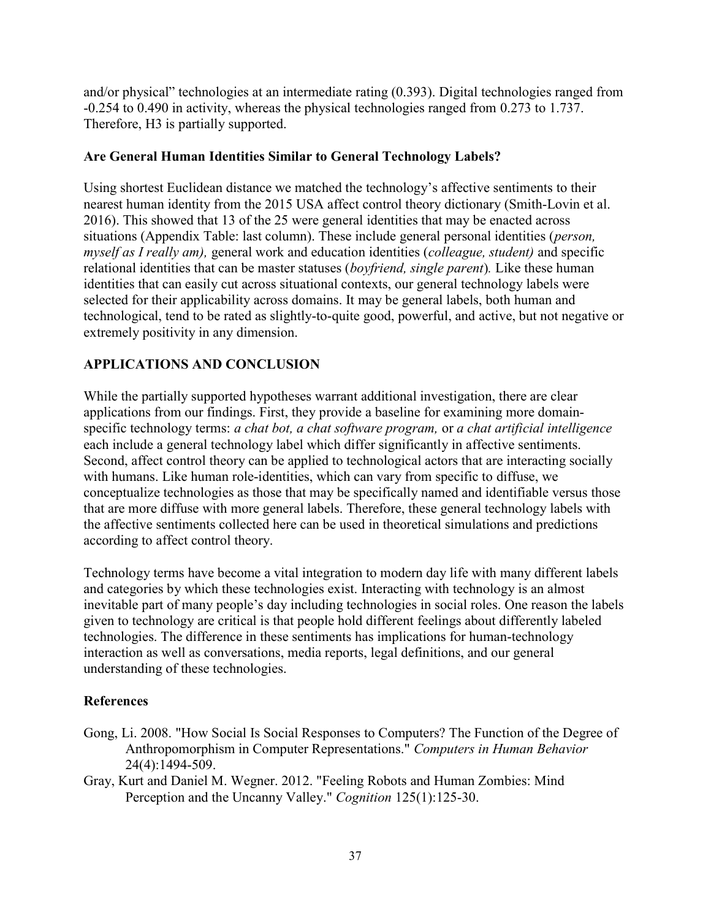and/or physical" technologies at an intermediate rating (0.393). Digital technologies ranged from -0.254 to 0.490 in activity, whereas the physical technologies ranged from 0.273 to 1.737. Therefore, H3 is partially supported.

## Are General Human Identities Similar to General Technology Labels?

Using shortest Euclidean distance we matched the technology's affective sentiments to their nearest human identity from the 2015 USA affect control theory dictionary (Smith-Lovin et al. 2016). This showed that 13 of the 25 were general identities that may be enacted across situations (Appendix Table: last column). These include general personal identities (*person*, myself as I really am), general work and education identities (colleague, student) and specific relational identities that can be master statuses (boyfriend, single parent). Like these human identities that can easily cut across situational contexts, our general technology labels were selected for their applicability across domains. It may be general labels, both human and technological, tend to be rated as slightly-to-quite good, powerful, and active, but not negative or extremely positivity in any dimension.

## APPLICATIONS AND CONCLUSION

While the partially supported hypotheses warrant additional investigation, there are clear applications from our findings. First, they provide a baseline for examining more domainspecific technology terms: a chat bot, a chat software program, or a chat artificial intelligence each include a general technology label which differ significantly in affective sentiments. Second, affect control theory can be applied to technological actors that are interacting socially with humans. Like human role-identities, which can vary from specific to diffuse, we conceptualize technologies as those that may be specifically named and identifiable versus those that are more diffuse with more general labels. Therefore, these general technology labels with the affective sentiments collected here can be used in theoretical simulations and predictions according to affect control theory.

Technology terms have become a vital integration to modern day life with many different labels and categories by which these technologies exist. Interacting with technology is an almost inevitable part of many people's day including technologies in social roles. One reason the labels given to technology are critical is that people hold different feelings about differently labeled technologies. The difference in these sentiments has implications for human-technology interaction as well as conversations, media reports, legal definitions, and our general understanding of these technologies.

## References

- Gong, Li. 2008. "How Social Is Social Responses to Computers? The Function of the Degree of Anthropomorphism in Computer Representations." Computers in Human Behavior 24(4):1494-509.
- Gray, Kurt and Daniel M. Wegner. 2012. "Feeling Robots and Human Zombies: Mind Perception and the Uncanny Valley." Cognition 125(1):125-30.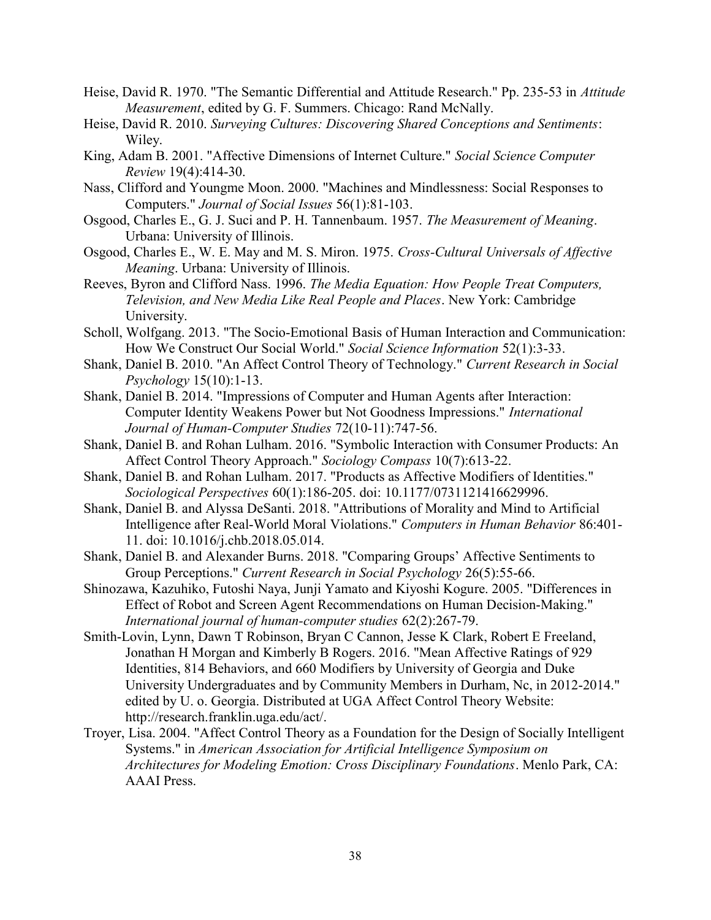- Heise, David R. 1970. "The Semantic Differential and Attitude Research." Pp. 235-53 in Attitude Measurement, edited by G. F. Summers. Chicago: Rand McNally.
- Heise, David R. 2010. Surveying Cultures: Discovering Shared Conceptions and Sentiments: Wiley.
- King, Adam B. 2001. "Affective Dimensions of Internet Culture." Social Science Computer Review 19(4):414-30.
- Nass, Clifford and Youngme Moon. 2000. "Machines and Mindlessness: Social Responses to Computers." Journal of Social Issues 56(1):81-103.
- Osgood, Charles E., G. J. Suci and P. H. Tannenbaum. 1957. The Measurement of Meaning. Urbana: University of Illinois.
- Osgood, Charles E., W. E. May and M. S. Miron. 1975. Cross-Cultural Universals of Affective Meaning. Urbana: University of Illinois.
- Reeves, Byron and Clifford Nass. 1996. The Media Equation: How People Treat Computers, Television, and New Media Like Real People and Places. New York: Cambridge University.
- Scholl, Wolfgang. 2013. "The Socio-Emotional Basis of Human Interaction and Communication: How We Construct Our Social World." Social Science Information 52(1):3-33.
- Shank, Daniel B. 2010. "An Affect Control Theory of Technology." Current Research in Social Psychology 15(10):1-13.
- Shank, Daniel B. 2014. "Impressions of Computer and Human Agents after Interaction: Computer Identity Weakens Power but Not Goodness Impressions." International Journal of Human-Computer Studies 72(10-11):747-56.
- Shank, Daniel B. and Rohan Lulham. 2016. "Symbolic Interaction with Consumer Products: An Affect Control Theory Approach." Sociology Compass 10(7):613-22.
- Shank, Daniel B. and Rohan Lulham. 2017. "Products as Affective Modifiers of Identities." Sociological Perspectives 60(1):186-205. doi: 10.1177/0731121416629996.
- Shank, Daniel B. and Alyssa DeSanti. 2018. "Attributions of Morality and Mind to Artificial Intelligence after Real-World Moral Violations." Computers in Human Behavior 86:401- 11. doi: 10.1016/j.chb.2018.05.014.
- Shank, Daniel B. and Alexander Burns. 2018. "Comparing Groups' Affective Sentiments to Group Perceptions." Current Research in Social Psychology 26(5):55-66.
- Shinozawa, Kazuhiko, Futoshi Naya, Junji Yamato and Kiyoshi Kogure. 2005. "Differences in Effect of Robot and Screen Agent Recommendations on Human Decision-Making." International journal of human-computer studies 62(2):267-79.
- Smith-Lovin, Lynn, Dawn T Robinson, Bryan C Cannon, Jesse K Clark, Robert E Freeland, Jonathan H Morgan and Kimberly B Rogers. 2016. "Mean Affective Ratings of 929 Identities, 814 Behaviors, and 660 Modifiers by University of Georgia and Duke University Undergraduates and by Community Members in Durham, Nc, in 2012-2014." edited by U. o. Georgia. Distributed at UGA Affect Control Theory Website: http://research.franklin.uga.edu/act/.
- Troyer, Lisa. 2004. "Affect Control Theory as a Foundation for the Design of Socially Intelligent Systems." in American Association for Artificial Intelligence Symposium on Architectures for Modeling Emotion: Cross Disciplinary Foundations. Menlo Park, CA: AAAI Press.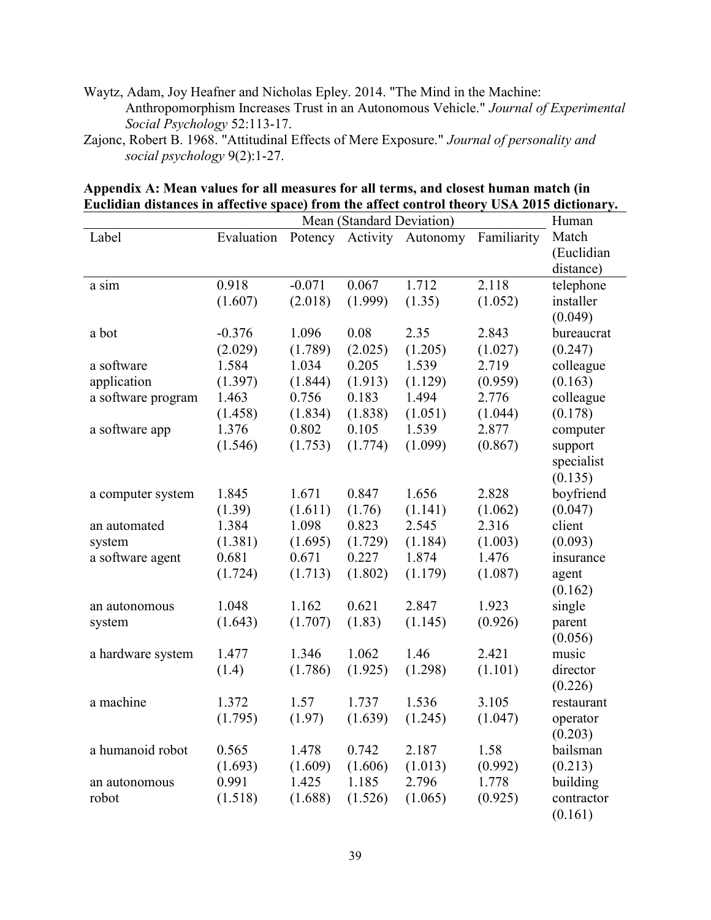- Waytz, Adam, Joy Heafner and Nicholas Epley. 2014. "The Mind in the Machine: Anthropomorphism Increases Trust in an Autonomous Vehicle." Journal of Experimental Social Psychology 52:113-17.
- Zajonc, Robert B. 1968. "Attitudinal Effects of Mere Exposure." Journal of personality and social psychology 9(2):1-27.

|                    |            | Mean (Standard Deviation) |         |                           |             | Human      |
|--------------------|------------|---------------------------|---------|---------------------------|-------------|------------|
| Label              | Evaluation |                           |         | Potency Activity Autonomy | Familiarity | Match      |
|                    |            |                           |         |                           |             | (Euclidian |
|                    |            |                           |         |                           |             | distance)  |
| a sim              | 0.918      | $-0.071$                  | 0.067   | 1.712                     | 2.118       | telephone  |
|                    | (1.607)    | (2.018)                   | (1.999) | (1.35)                    | (1.052)     | installer  |
|                    |            |                           |         |                           |             | (0.049)    |
| a bot              | $-0.376$   | 1.096                     | 0.08    | 2.35                      | 2.843       | bureaucrat |
|                    | (2.029)    | (1.789)                   | (2.025) | (1.205)                   | (1.027)     | (0.247)    |
| a software         | 1.584      | 1.034                     | 0.205   | 1.539                     | 2.719       | colleague  |
| application        | (1.397)    | (1.844)                   | (1.913) | (1.129)                   | (0.959)     | (0.163)    |
| a software program | 1.463      | 0.756                     | 0.183   | 1.494                     | 2.776       | colleague  |
|                    | (1.458)    | (1.834)                   | (1.838) | (1.051)                   | (1.044)     | (0.178)    |
| a software app     | 1.376      | 0.802                     | 0.105   | 1.539                     | 2.877       | computer   |
|                    | (1.546)    | (1.753)                   | (1.774) | (1.099)                   | (0.867)     | support    |
|                    |            |                           |         |                           |             | specialist |
|                    |            |                           |         |                           |             | (0.135)    |
| a computer system  | 1.845      | 1.671                     | 0.847   | 1.656                     | 2.828       | boyfriend  |
|                    | (1.39)     | (1.611)                   | (1.76)  | (1.141)                   | (1.062)     | (0.047)    |
| an automated       | 1.384      | 1.098                     | 0.823   | 2.545                     | 2.316       | client     |
| system             | (1.381)    | (1.695)                   | (1.729) | (1.184)                   | (1.003)     | (0.093)    |
| a software agent   | 0.681      | 0.671                     | 0.227   | 1.874                     | 1.476       | insurance  |
|                    | (1.724)    | (1.713)                   | (1.802) | (1.179)                   | (1.087)     | agent      |
|                    |            |                           |         |                           |             | (0.162)    |
| an autonomous      | 1.048      | 1.162                     | 0.621   | 2.847                     | 1.923       | single     |
| system             | (1.643)    | (1.707)                   | (1.83)  | (1.145)                   | (0.926)     | parent     |
|                    |            |                           |         |                           |             | (0.056)    |
| a hardware system  | 1.477      | 1.346                     | 1.062   | 1.46                      | 2.421       | music      |
|                    | (1.4)      | (1.786)                   | (1.925) | (1.298)                   | (1.101)     | director   |
|                    |            |                           |         |                           |             | (0.226)    |
| a machine          | 1.372      | 1.57                      | 1.737   | 1.536                     | 3.105       | restaurant |
|                    | (1.795)    | (1.97)                    | (1.639) | (1.245)                   | (1.047)     | operator   |
|                    |            |                           |         |                           |             | (0.203)    |
| a humanoid robot   | 0.565      | 1.478                     | 0.742   | 2.187                     | 1.58        | bailsman   |
|                    | (1.693)    | (1.609)                   | (1.606) | (1.013)                   | (0.992)     | (0.213)    |
| an autonomous      | 0.991      | 1.425                     | 1.185   | 2.796                     | 1.778       | building   |
| robot              | (1.518)    | (1.688)                   | (1.526) | (1.065)                   | (0.925)     | contractor |
|                    |            |                           |         |                           |             | (0.161)    |

## Appendix A: Mean values for all measures for all terms, and closest human match (in Euclidian distances in affective space) from the affect control theory USA 2015 dictionary.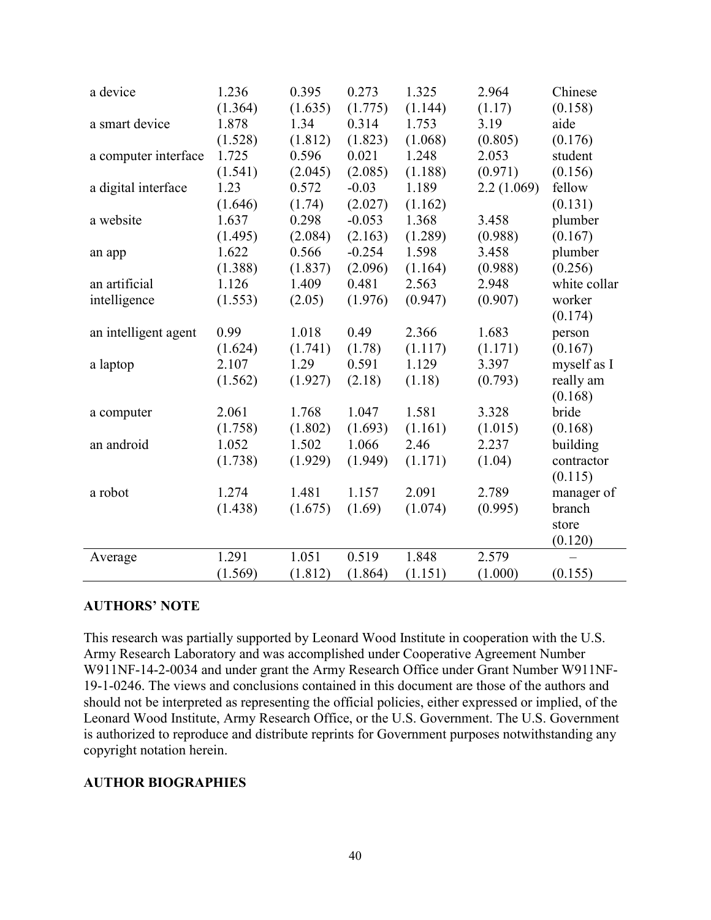| a device             | 1.236   | 0.395   | 0.273    | 1.325   | 2.964      | Chinese      |
|----------------------|---------|---------|----------|---------|------------|--------------|
|                      | (1.364) | (1.635) | (1.775)  | (1.144) | (1.17)     | (0.158)      |
| a smart device       | 1.878   | 1.34    | 0.314    | 1.753   | 3.19       | aide         |
|                      | (1.528) | (1.812) | (1.823)  | (1.068) | (0.805)    | (0.176)      |
| a computer interface | 1.725   | 0.596   | 0.021    | 1.248   | 2.053      | student      |
|                      | (1.541) | (2.045) | (2.085)  | (1.188) | (0.971)    | (0.156)      |
| a digital interface  | 1.23    | 0.572   | $-0.03$  | 1.189   | 2.2(1.069) | fellow       |
|                      | (1.646) | (1.74)  | (2.027)  | (1.162) |            | (0.131)      |
| a website            | 1.637   | 0.298   | $-0.053$ | 1.368   | 3.458      | plumber      |
|                      | (1.495) | (2.084) | (2.163)  | (1.289) | (0.988)    | (0.167)      |
| an app               | 1.622   | 0.566   | $-0.254$ | 1.598   | 3.458      | plumber      |
|                      | (1.388) | (1.837) | (2.096)  | (1.164) | (0.988)    | (0.256)      |
| an artificial        | 1.126   | 1.409   | 0.481    | 2.563   | 2.948      | white collar |
| intelligence         | (1.553) | (2.05)  | (1.976)  | (0.947) | (0.907)    | worker       |
|                      |         |         |          |         |            | (0.174)      |
| an intelligent agent | 0.99    | 1.018   | 0.49     | 2.366   | 1.683      | person       |
|                      | (1.624) | (1.741) | (1.78)   | (1.117) | (1.171)    | (0.167)      |
| a laptop             | 2.107   | 1.29    | 0.591    | 1.129   | 3.397      | myself as I  |
|                      | (1.562) | (1.927) | (2.18)   | (1.18)  | (0.793)    | really am    |
|                      |         |         |          |         |            | (0.168)      |
| a computer           | 2.061   | 1.768   | 1.047    | 1.581   | 3.328      | bride        |
|                      | (1.758) | (1.802) | (1.693)  | (1.161) | (1.015)    | (0.168)      |
| an android           | 1.052   | 1.502   | 1.066    | 2.46    | 2.237      | building     |
|                      | (1.738) | (1.929) | (1.949)  | (1.171) | (1.04)     | contractor   |
|                      |         |         |          |         |            | (0.115)      |
| a robot              | 1.274   | 1.481   | 1.157    | 2.091   | 2.789      | manager of   |
|                      | (1.438) | (1.675) | (1.69)   | (1.074) | (0.995)    | branch       |
|                      |         |         |          |         |            | store        |
|                      |         |         |          |         |            | (0.120)      |
| Average              | 1.291   | 1.051   | 0.519    | 1.848   | 2.579      |              |
|                      | (1.569) | (1.812) | (1.864)  | (1.151) | (1.000)    | (0.155)      |

#### AUTHORS' NOTE

This research was partially supported by Leonard Wood Institute in cooperation with the U.S. Army Research Laboratory and was accomplished under Cooperative Agreement Number W911NF-14-2-0034 and under grant the Army Research Office under Grant Number W911NF-19-1-0246. The views and conclusions contained in this document are those of the authors and should not be interpreted as representing the official policies, either expressed or implied, of the Leonard Wood Institute, Army Research Office, or the U.S. Government. The U.S. Government is authorized to reproduce and distribute reprints for Government purposes notwithstanding any copyright notation herein.

#### AUTHOR BIOGRAPHIES